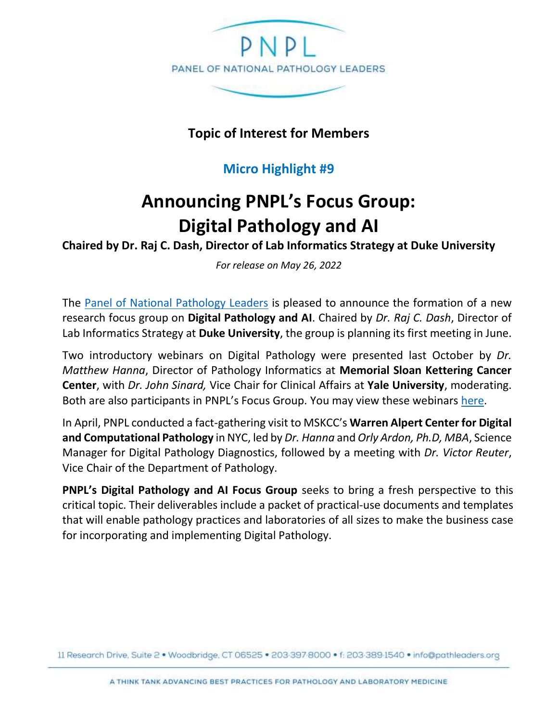

**Topic of Interest for Members**

## **Micro Highlight #9**

## **Announcing PNPL's Focus Group: Digital Pathology and AI**

**Chaired by Dr. Raj C. Dash, Director of Lab Informatics Strategy at Duke University**

*For release on May 26, 2022*

The [Panel of National Pathology Leaders](http://www.pathleaders.org/) is pleased to announce the formation of a new research focus group on **Digital Pathology and AI**. Chaired by *Dr. Raj C. Dash*, Director of Lab Informatics Strategy at **Duke University**, the group is planning its first meeting in June.

Two introductory webinars on Digital Pathology were presented last October by *Dr. Matthew Hanna*, Director of Pathology Informatics at **Memorial Sloan Kettering Cancer Center**, with *Dr. John Sinard,* Vice Chair for Clinical Affairs at **Yale University**, moderating. Both are also participants in PNPL's Focus Group. You may view these webinars [here.](https://pathleaders.org/webinars-3/)

In April, PNPL conducted a fact-gathering visit to MSKCC's **Warren Alpert Center for Digital and Computational Pathology** in NYC, led by *Dr. Hanna* and *Orly Ardon, Ph.D, MBA*, Science Manager for Digital Pathology Diagnostics, followed by a meeting with *Dr. Victor Reuter*, Vice Chair of the Department of Pathology.

**PNPL's Digital Pathology and AI Focus Group** seeks to bring a fresh perspective to this critical topic. Their deliverables include a packet of practical-use documents and templates that will enable pathology practices and laboratories of all sizes to make the business case for incorporating and implementing Digital Pathology.

11 Research Drive, Suite 2 · Woodbridge, CT 06525 · 203-397-8000 · f: 203-389-1540 · info@pathleaders.org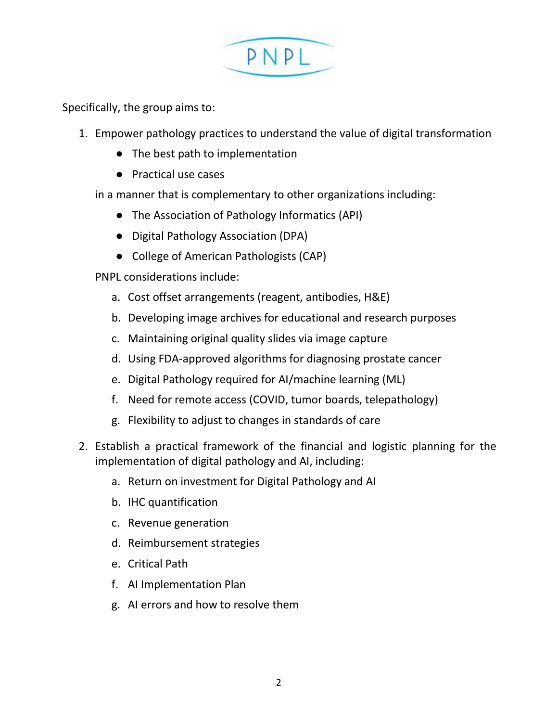

Specifically, the group aims to:

- 1. Empower pathology practices to understand the value of digital transformation
	- The best path to implementation
	- Practical use cases
	- in a manner that is complementary to other organizations including:
		- The Association of Pathology Informatics (API)
		- Digital Pathology Association (DPA)
		- College of American Pathologists (CAP)

PNPL considerations include:

- a. Cost offset arrangements (reagent, antibodies, H&E)
- b. Developing image archives for educational and research purposes
- c. Maintaining original quality slides via image capture
- d. Using FDA-approved algorithms for diagnosing prostate cancer
- e. Digital Pathology required for AI/machine learning (ML)
- f. Need for remote access (COVID, tumor boards, telepathology)
- g. Flexibility to adjust to changes in standards of care
- 2. Establish a practical framework of the financial and logistic planning for the implementation of digital pathology and AI, including:
	- a. Return on investment for Digital Pathology and AI
	- b. IHC quantification
	- c. Revenue generation
	- d. Reimbursement strategies
	- e. Critical Path
	- f. AI Implementation Plan
	- g. AI errors and how to resolve them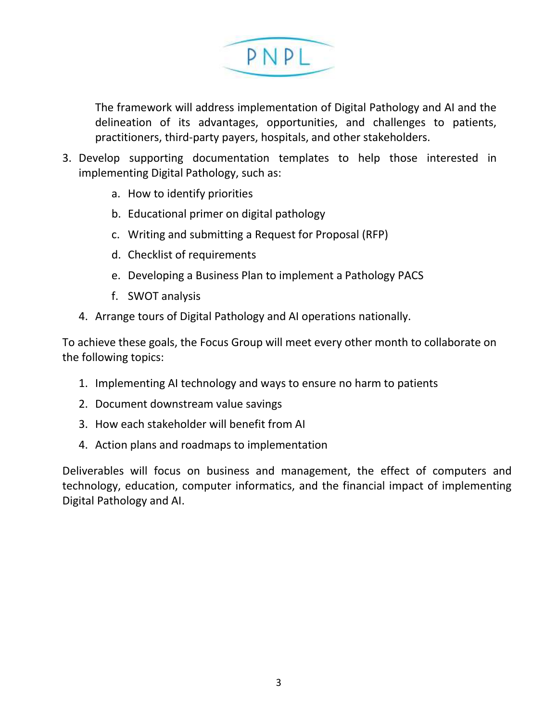

The framework will address implementation of Digital Pathology and AI and the delineation of its advantages, opportunities, and challenges to patients, practitioners, third-party payers, hospitals, and other stakeholders.

- 3. Develop supporting documentation templates to help those interested in implementing Digital Pathology, such as:
	- a. How to identify priorities
	- b. Educational primer on digital pathology
	- c. Writing and submitting a Request for Proposal (RFP)
	- d. Checklist of requirements
	- e. Developing a Business Plan to implement a Pathology PACS
	- f. SWOT analysis
	- 4. Arrange tours of Digital Pathology and AI operations nationally.

To achieve these goals, the Focus Group will meet every other month to collaborate on the following topics:

- 1. Implementing AI technology and ways to ensure no harm to patients
- 2. Document downstream value savings
- 3. How each stakeholder will benefit from AI
- 4. Action plans and roadmaps to implementation

Deliverables will focus on business and management, the effect of computers and technology, education, computer informatics, and the financial impact of implementing Digital Pathology and AI.